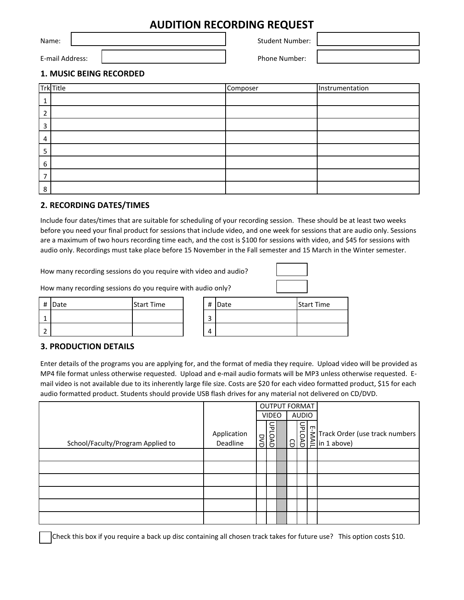## **AUDITION RECORDING REQUEST**

Name: Name: Name: Student Number: Student Number: Student Number: Student Number:

E-mail Address: Phone Number: Phone Number:

### **1. MUSIC BEING RECORDED**

|        | <b>Trk</b> Title | Composer | Instrumentation |
|--------|------------------|----------|-----------------|
|        |                  |          |                 |
|        |                  |          |                 |
| ຳ<br>∍ |                  |          |                 |
|        |                  |          |                 |
| Э      |                  |          |                 |
| 6      |                  |          |                 |
|        |                  |          |                 |
| 8      |                  |          |                 |

### **2. RECORDING DATES/TIMES**

Include four dates/times that are suitable for scheduling of your recording session. These should be at least two weeks before you need your final product for sessions that include video, and one week for sessions that are audio only. Sessions are a maximum of two hours recording time each, and the cost is \$100 for sessions with video, and \$45 for sessions with audio only. Recordings must take place before 15 November in the Fall semester and 15 March in the Winter semester.

How many recording sessions do you require with video and audio?



How many recording sessions do you require with audio only?

| # | Date | <b>Start Time</b> |  |
|---|------|-------------------|--|
|   |      |                   |  |
|   |      |                   |  |

| # | Date | <b>Start Time</b> |
|---|------|-------------------|
| ◠ |      |                   |
|   |      |                   |

#### **3. PRODUCTION DETAILS**

Enter details of the programs you are applying for, and the format of media they require. Upload video will be provided as MP4 file format unless otherwise requested. Upload and e-mail audio formats will be MP3 unless otherwise requested. Email video is not available due to its inherently large file size. Costs are \$20 for each video formatted product, \$15 for each audio formatted product. Students should provide USB flash drives for any material not delivered on CD/DVD.

|                                   |                         | <b>OUTPUT FORMAT</b> |                              |  |  |  |                                                                                  |
|-----------------------------------|-------------------------|----------------------|------------------------------|--|--|--|----------------------------------------------------------------------------------|
|                                   |                         |                      | <b>AUDIO</b><br><b>VIDEO</b> |  |  |  |                                                                                  |
| School/Faculty/Program Applied to | Application<br>Deadline | Š<br>Ō               | ᠊ᠣ<br>$\overline{5}$<br>Š    |  |  |  | ABBETT Track Order (use track numbers )<br>ABBETTRACK Order (use track numbers ) |
|                                   |                         |                      |                              |  |  |  |                                                                                  |
|                                   |                         |                      |                              |  |  |  |                                                                                  |
|                                   |                         |                      |                              |  |  |  |                                                                                  |
|                                   |                         |                      |                              |  |  |  |                                                                                  |
|                                   |                         |                      |                              |  |  |  |                                                                                  |
|                                   |                         |                      |                              |  |  |  |                                                                                  |

Check this box if you require a back up disc containing all chosen track takes for future use? This option costs \$10.